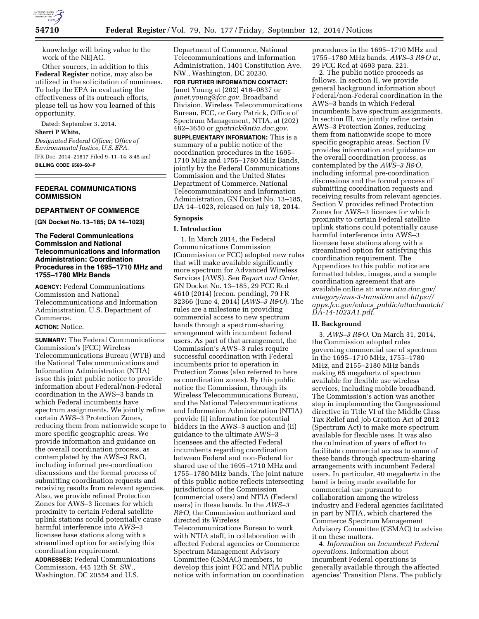

knowledge will bring value to the work of the NEJAC.

Other sources, in addition to this **Federal Register** notice, may also be utilized in the solicitation of nominees. To help the EPA in evaluating the effectiveness of its outreach efforts, please tell us how you learned of this opportunity.

Dated: September 3, 2014. **Sherri P White,** 

*Designated Federal Officer, Office of Environmental Justice, U.S. EPA.*  [FR Doc. 2014–21817 Filed 9–11–14; 8:45 am] **BILLING CODE 6560–50–P** 

## **FEDERAL COMMUNICATIONS COMMISSION**

# **DEPARTMENT OF COMMERCE**

**[GN Docket No. 13–185; DA 14–1023]** 

## **The Federal Communications Commission and National Telecommunications and Information Administration: Coordination Procedures in the 1695–1710 MHz and 1755–1780 MHz Bands**

**AGENCY:** Federal Communications Commission and National Telecommunications and Information Administration, U.S. Department of Commerce.

## **ACTION:** Notice.

**SUMMARY:** The Federal Communications Commission's (FCC) Wireless Telecommunications Bureau (WTB) and the National Telecommunications and Information Administration (NTIA) issue this joint public notice to provide information about Federal/non-Federal coordination in the AWS–3 bands in which Federal incumbents have spectrum assignments. We jointly refine certain AWS–3 Protection Zones, reducing them from nationwide scope to more specific geographic areas. We provide information and guidance on the overall coordination process, as contemplated by the AWS–3 R&O, including informal pre-coordination discussions and the formal process of submitting coordination requests and receiving results from relevant agencies. Also, we provide refined Protection Zones for AWS–3 licenses for which proximity to certain Federal satellite uplink stations could potentially cause harmful interference into AWS–3 licensee base stations along with a streamlined option for satisfying this coordination requirement.

**ADDRESSES:** Federal Communications Commission, 445 12th St. SW., Washington, DC 20554 and U.S.

Department of Commerce, National Telecommunications and Information Administration, 1401 Constitution Ave. NW., Washington, DC 20230.

**FOR FURTHER INFORMATION CONTACT:**  Janet Young at (202) 418–0837 or *[janet.young@fcc.gov,](mailto:janet.young@fcc.gov)* Broadband Division, Wireless Telecommunications Bureau, FCC, or Gary Patrick, Office of Spectrum Management, NTIA, at (202) 482–3650 or *[gpatrick@ntia.doc.gov.](mailto:gpatrick@ntia.doc.gov)* 

**SUPPLEMENTARY INFORMATION:** This is a summary of a public notice of the coordination procedures in the 1695– 1710 MHz and 1755–1780 MHz Bands, jointly by the Federal Communications Commission and the United States Department of Commerce, National Telecommunications and Information Administration, GN Docket No. 13–185, DA 14–1023, released on July 18, 2014.

# **Synopsis**

#### **I. Introduction**

1. In March 2014, the Federal Communications Commission (Commission or FCC) adopted new rules that will make available significantly more spectrum for Advanced Wireless Services (AWS). See *Report and Order,*  GN Docket No. 13–185, 29 FCC Rcd 4610 (2014) (recon. pending), 79 FR 32366 (June 4, 2014) (*AWS–3 R&O*). The rules are a milestone in providing commercial access to new spectrum bands through a spectrum-sharing arrangement with incumbent federal users. As part of that arrangement, the Commission's AWS–3 rules require successful coordination with Federal incumbents prior to operation in Protection Zones (also referred to here as coordination zones). By this public notice the Commission, through its Wireless Telecommunications Bureau, and the National Telecommunications and Information Administration (NTIA) provide (i) information for potential bidders in the AWS–3 auction and (ii) guidance to the ultimate AWS–3 licensees and the affected Federal incumbents regarding coordination between Federal and non-Federal for shared use of the 1695–1710 MHz and 1755–1780 MHz bands. The joint nature of this public notice reflects intersecting jurisdictions of the Commission (commercial users) and NTIA (Federal users) in these bands. In the *AWS–3 R&O,* the Commission authorized and directed its Wireless Telecommunications Bureau to work

with NTIA staff, in collaboration with affected Federal agencies or Commerce Spectrum Management Advisory Committee (CSMAC) members, to develop this joint FCC and NTIA public notice with information on coordination procedures in the 1695–1710 MHz and 1755–1780 MHz bands. *AWS–3 R&O* at, 29 FCC Rcd at 4693 para. 221.

2. The public notice proceeds as follows. In section II, we provide general background information about Federal/non-Federal coordination in the AWS–3 bands in which Federal incumbents have spectrum assignments. In section III, we jointly refine certain AWS–3 Protection Zones, reducing them from nationwide scope to more specific geographic areas. Section IV provides information and guidance on the overall coordination process, as contemplated by the *AWS–3 R&O,*  including informal pre-coordination discussions and the formal process of submitting coordination requests and receiving results from relevant agencies. Section V provides refined Protection Zones for AWS–3 licenses for which proximity to certain Federal satellite uplink stations could potentially cause harmful interference into AWS–3 licensee base stations along with a streamlined option for satisfying this coordination requirement. The Appendices to this public notice are formatted tables, images, and a sample coordination agreement that are available online at: *[www.ntia.doc.gov/](http://www.ntia.doc.gov/category/aws-3-transition) [category/aws-3-transition](http://www.ntia.doc.gov/category/aws-3-transition)* and *[https://](https://apps.fcc.gov/edocs_public/attachmatch/DA-14-1023A1.pdf) apps.fcc.gov/edocs*\_*[public/attachmatch/](https://apps.fcc.gov/edocs_public/attachmatch/DA-14-1023A1.pdf) [DA-14-1023A1.pdf.](https://apps.fcc.gov/edocs_public/attachmatch/DA-14-1023A1.pdf)* 

### **II. Background**

3. *AWS–3 R&O.* On March 31, 2014, the Commission adopted rules governing commercial use of spectrum in the 1695–1710 MHz, 1755–1780 MHz, and 2155–2180 MHz bands making 65 megahertz of spectrum available for flexible use wireless services, including mobile broadband. The Commission's action was another step in implementing the Congressional directive in Title VI of the Middle Class Tax Relief and Job Creation Act of 2012 (Spectrum Act) to make more spectrum available for flexible uses. It was also the culmination of years of effort to facilitate commercial access to some of these bands through spectrum-sharing arrangements with incumbent Federal users. In particular, 40 megahertz in the band is being made available for commercial use pursuant to collaboration among the wireless industry and Federal agencies facilitated in part by NTIA, which chartered the Commerce Spectrum Management Advisory Committee (CSMAC) to advise it on these matters.

4. *Information on Incumbent Federal operations.* Information about incumbent Federal operations is generally available through the affected agencies' Transition Plans. The publicly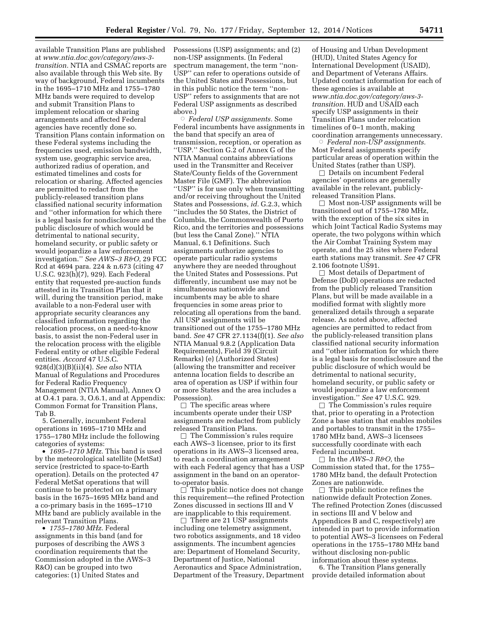available Transition Plans are published at *[www.ntia.doc.gov/category/aws-3](http://www.ntia.doc.gov/category/aws-3-transition) [transition.](http://www.ntia.doc.gov/category/aws-3-transition)* NTIA and CSMAC reports are also available through this Web site. By way of background, Federal incumbents in the 1695–1710 MHz and 1755–1780 MHz bands were required to develop and submit Transition Plans to implement relocation or sharing arrangements and affected Federal agencies have recently done so. Transition Plans contain information on these Federal systems including the frequencies used, emission bandwidth, system use, geographic service area, authorized radius of operation, and estimated timelines and costs for relocation or sharing. Affected agencies are permitted to redact from the publicly-released transition plans classified national security information and ''other information for which there is a legal basis for nondisclosure and the public disclosure of which would be detrimental to national security, homeland security, or public safety or would jeopardize a law enforcement investigation.'' *See AWS–3 R&O,* 29 FCC Rcd at 4694 para. 224 & n.673 (citing 47 U.S.C. 923(h)(7), 929). Each Federal entity that requested pre-auction funds attested in its Transition Plan that it will, during the transition period, make available to a non-Federal user with appropriate security clearances any classified information regarding the relocation process, on a need-to-know basis, to assist the non-Federal user in the relocation process with the eligible Federal entity or other eligible Federal entities. *Accord* 47 U.S.C. 928(d)(3)(B)(ii)(4). *See also* NTIA Manual of Regulations and Procedures for Federal Radio Frequency Management (NTIA Manual), Annex O at O.4.1 para. 3, O.6.1, and at Appendix: Common Format for Transition Plans, Tab B.

5. Generally, incumbent Federal operations in 1695–1710 MHz and 1755–1780 MHz include the following categories of systems:

• *1695–1710 MHz.* This band is used by the meteorological satellite (MetSat) service (restricted to space-to-Earth operation). Details on the protected 47 Federal MetSat operations that will continue to be protected on a primary basis in the 1675–1695 MHz band and a co-primary basis in the 1695–1710 MHz band are publicly available in the relevant Transition Plans.

• *1755–1780 MHz.* Federal assignments in this band (and for purposes of describing the AWS 3 coordination requirements that the Commission adopted in the AWS–3 R&O) can be grouped into two categories: (1) United States and

Possessions (USP) assignments; and (2) non-USP assignments. (In Federal spectrum management, the term ''non-USP'' can refer to operations outside of the United States and Possessions, but in this public notice the term ''non-USP'' refers to assignments that are not Federal USP assignments as described above.)

Æ *Federal USP assignments.* Some Federal incumbents have assignments in the band that specify an area of transmission, reception, or operation as ''USP.'' Section G.2 of Annex G of the NTIA Manual contains abbreviations used in the Transmitter and Receiver State/County fields of the Government Master File (GMF). The abbreviation ''USP'' is for use only when transmitting and/or receiving throughout the United States and Possessions, *id.* G.2.3, which ''includes the 50 States, the District of Columbia, the Commonwealth of Puerto Rico, and the territories and possessions (but less the Canal Zone).'' NTIA Manual, 6.1 Definitions. Such assignments authorize agencies to operate particular radio systems anywhere they are needed throughout the United States and Possessions. Put differently, incumbent use may not be simultaneous nationwide and incumbents may be able to share frequencies in some areas prior to relocating all operations from the band. All USP assignments will be transitioned out of the 1755–1780 MHz band. *See* 47 CFR 27.1134(f)(1). *See also*  NTIA Manual 9.8.2 (Application Data Requirements), Field 39 (Circuit Remarks) (e) (Authorized States) (allowing the transmitter and receiver antenna location fields to describe an area of operation as USP if within four or more States and the area includes a Possession).

 $\Box$  The specific areas where incumbents operate under their USP assignments are redacted from publicly released Transition Plans.

 $\Box$  The Commission's rules require each AWS–3 licensee, prior to its first operations in its AWS–3 licensed area, to reach a coordination arrangement with each Federal agency that has a USP assignment in the band on an operatorto-operator basis.

 $\Box$  This public notice does not change this requirement—the refined Protection Zones discussed in sections III and V are inapplicable to this requirement.

 $\Box$  There are 21 USP assignments including one telemetry assignment, two robotics assignments, and 18 video assignments. The incumbent agencies are: Department of Homeland Security, Department of Justice, National Aeronautics and Space Administration, Department of the Treasury, Department

of Housing and Urban Development (HUD), United States Agency for International Development (USAID), and Department of Veterans Affairs. Updated contact information for each of these agencies is available at *[www.ntia.doc.gov/category/aws-3](http://www.ntia.doc.gov/category/aws-3-transition) [transition.](http://www.ntia.doc.gov/category/aws-3-transition)* HUD and USAID each specify USP assignments in their Transition Plans under relocation timelines of 0–1 month, making coordination arrangements unnecessary.

 $\circ$  *Federal non-USP assignments.* Most Federal assignments specify particular areas of operation within the United States (rather than USP).

 $\Box$  Details on incumbent Federal agencies' operations are generally available in the relevant, publiclyreleased Transition Plans.

 $\Box$  Most non-USP assignments will be transitioned out of 1755–1780 MHz, with the exception of the six sites in which Joint Tactical Radio Systems may operate, the two polygons within which the Air Combat Training System may operate, and the 25 sites where Federal earth stations may transmit. *See* 47 CFR 2.106 footnote US91.

 $\Box$  Most details of Department of Defense (DoD) operations are redacted from the publicly released Transition Plans, but will be made available in a modified format with slightly more generalized details through a separate release. As noted above, affected agencies are permitted to redact from the publicly-released transition plans classified national security information and ''other information for which there is a legal basis for nondisclosure and the public disclosure of which would be detrimental to national security, homeland security, or public safety or would jeopardize a law enforcement investigation.'' *See* 47 U.S.C. 929.

 $\Box$  The Commission's rules require that, prior to operating in a Protection Zone a base station that enables mobiles and portables to transmit in the 1755– 1780 MHz band, AWS–3 licensees successfully coordinate with each Federal incumbent.

 $\Box$  In the *AWS–3 R&O*, the Commission stated that, for the 1755– 1780 MHz band, the default Protection Zones are nationwide.

 $\Box$  This public notice refines the nationwide default Protection Zones. The refined Protection Zones (discussed in sections III and V below and Appendices B and C, respectively) are intended in part to provide information to potential AWS–3 licensees on Federal operations in the 1755–1780 MHz band without disclosing non-public information about these systems.

6. The Transition Plans generally provide detailed information about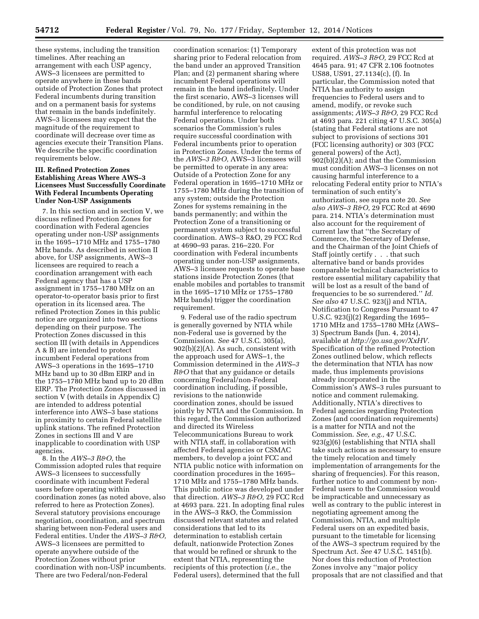these systems, including the transition timelines. After reaching an arrangement with each USP agency, AWS–3 licensees are permitted to operate anywhere in these bands outside of Protection Zones that protect Federal incumbents during transition and on a permanent basis for systems that remain in the bands indefinitely. AWS–3 licensees may expect that the magnitude of the requirement to coordinate will decrease over time as agencies execute their Transition Plans. We describe the specific coordination requirements below.

## **III. Refined Protection Zones Establishing Areas Where AWS–3 Licensees Must Successfully Coordinate With Federal Incumbents Operating Under Non-USP Assignments**

7. In this section and in section V, we discuss refined Protection Zones for coordination with Federal agencies operating under non-USP assignments in the 1695–1710 MHz and 1755–1780 MHz bands. As described in section II above, for USP assignments, AWS–3 licensees are required to reach a coordination arrangement with each Federal agency that has a USP assignment in 1755–1780 MHz on an operator-to-operator basis prior to first operation in its licensed area. The refined Protection Zones in this public notice are organized into two sections depending on their purpose. The Protection Zones discussed in this section III (with details in Appendices A & B) are intended to protect incumbent Federal operations from AWS–3 operations in the 1695–1710 MHz band up to 30 dBm EIRP and in the 1755–1780 MHz band up to 20 dBm EIRP. The Protection Zones discussed in section V (with details in Appendix C) are intended to address potential interference into AWS–3 base stations in proximity to certain Federal satellite uplink stations. The refined Protection Zones in sections III and V are inapplicable to coordination with USP agencies.

8. In the *AWS–3 R&O,* the Commission adopted rules that require AWS–3 licensees to successfully coordinate with incumbent Federal users before operating within coordination zones (as noted above, also referred to here as Protection Zones). Several statutory provisions encourage negotiation, coordination, and spectrum sharing between non-Federal users and Federal entities. Under the *AWS–3 R&O,*  AWS–3 licensees are permitted to operate anywhere outside of the Protection Zones without prior coordination with non-USP incumbents. There are two Federal/non-Federal

coordination scenarios: (1) Temporary sharing prior to Federal relocation from the band under an approved Transition Plan; and (2) permanent sharing where incumbent Federal operations will remain in the band indefinitely. Under the first scenario, AWS–3 licenses will be conditioned, by rule, on not causing harmful interference to relocating Federal operations. Under both scenarios the Commission's rules require successful coordination with Federal incumbents prior to operation in Protection Zones. Under the terms of the *AWS–3 R&O,* AWS–3 licensees will be permitted to operate in any area: Outside of a Protection Zone for any Federal operation in 1695–1710 MHz or 1755–1780 MHz during the transition of any system; outside the Protection Zones for systems remaining in the bands permanently; and within the Protection Zone of a transitioning or permanent system subject to successful coordination. AWS–3 R&O, 29 FCC Rcd at 4690–93 paras. 216–220. For coordination with Federal incumbents operating under non-USP assignments, AWS–3 licensee requests to operate base stations inside Protection Zones (that enable mobiles and portables to transmit in the 1695–1710 MHz or 1755–1780 MHz bands) trigger the coordination requirement.

9. Federal use of the radio spectrum is generally governed by NTIA while non-Federal use is governed by the Commission. *See* 47 U.S.C. 305(a), 902(b)(2)(A). As such, consistent with the approach used for AWS–1, the Commission determined in the *AWS–3 R&O* that that any guidance or details concerning Federal/non-Federal coordination including, if possible, revisions to the nationwide coordination zones, should be issued jointly by NTIA and the Commission. In this regard, the Commission authorized and directed its Wireless Telecommunications Bureau to work with NTIA staff, in collaboration with affected Federal agencies or CSMAC members, to develop a joint FCC and NTIA public notice with information on coordination procedures in the 1695– 1710 MHz and 1755–1780 MHz bands. This public notice was developed under that direction. *AWS–3 R&O,* 29 FCC Rcd at 4693 para. 221. In adopting final rules in the AWS–3 R&O, the Commission discussed relevant statutes and related considerations that led to its determination to establish certain default, nationwide Protection Zones that would be refined or shrunk to the extent that NTIA, representing the recipients of this protection (*i.e.,* the Federal users), determined that the full

extent of this protection was not required. *AWS–3 R&O,* 29 FCC Rcd at 4645 para. 91; 47 CFR 2.106 footnotes US88, US91, 27.1134(c), (f). In particular, the Commission noted that NTIA has authority to assign frequencies to Federal users and to amend, modify, or revoke such assignments; *AWS–3 R&O,* 29 FCC Rcd at 4693 para. 221 citing 47 U.S.C. 305(a) (stating that Federal stations are not subject to provisions of sections 301 (FCC licensing authority) or 303 (FCC general powers) of the Act), 902(b)(2)(A); and that the Commission must condition AWS–3 licenses on not causing harmful interference to a relocating Federal entity prior to NTIA's termination of such entity's authorization, see supra note 20. *See also AWS–3 R&O,* 29 FCC Rcd at 4690 para. 214. NTIA's determination must also account for the requirement of current law that ''the Secretary of Commerce, the Secretary of Defense, and the Chairman of the Joint Chiefs of Staff jointly certify . . . that such alternative band or bands provides comparable technical characteristics to restore essential military capability that will be lost as a result of the band of frequencies to be so surrendered.'' *Id. See also* 47 U.S.C. 923(j) and NTIA, Notification to Congress Pursuant to 47 U.S.C. 923(j)(2) Regarding the 1695– 1710 MHz and 1755–1780 MHz (AWS– 3) Spectrum Bands (Jun. 4, 2014), available at *[http://go.usa.gov/XxHV.](http://go.usa.gov/XxHV)*  Specification of the refined Protection Zones outlined below, which reflects the determination that NTIA has now made, thus implements provisions already incorporated in the Commission's AWS–3 rules pursuant to notice and comment rulemaking. Additionally, NTIA's directives to Federal agencies regarding Protection Zones (and coordination requirements) is a matter for NTIA and not the Commission. *See, e.g.,* 47 U.S.C. 923(g)(6) (establishing that NTIA shall take such actions as necessary to ensure the timely relocation and timely implementation of arrangements for the sharing of frequencies). For this reason, further notice to and comment by non-Federal users to the Commission would be impracticable and unnecessary as well as contrary to the public interest in negotiating agreement among the Commission, NTIA, and multiple Federal users on an expedited basis, pursuant to the timetable for licensing of the AWS–3 spectrum required by the Spectrum Act. *See* 47 U.S.C. 1451(b). Nor does this reduction of Protection Zones involve any ''major policy proposals that are not classified and that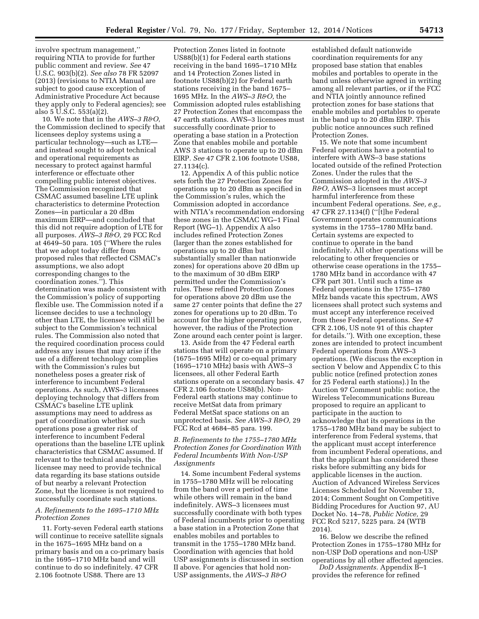involve spectrum management,'' requiring NTIA to provide for further public comment and review. *See* 47 U.S.C. 903(b)(2). *See also* 78 FR 52097 (2013) (revisions to NTIA Manual are subject to good cause exception of Administrative Procedure Act because they apply only to Federal agencies); see also  $5 \overline{U}$ .S.C.  $553(a)(2)$ .

10. We note that in the *AWS–3 R&O,*  the Commission declined to specify that licensees deploy systems using a particular technology—such as LTE and instead sought to adopt technical and operational requirements as necessary to protect against harmful interference or effectuate other compelling public interest objectives. The Commission recognized that CSMAC assumed baseline LTE uplink characteristics to determine Protection Zones—in particular a 20 dBm maximum EIRP—and concluded that this did not require adoption of LTE for all purposes. *AWS–3 R&O,* 29 FCC Rcd at 4649–50 para. 105 (''Where the rules that we adopt today differ from proposed rules that reflected CSMAC's assumptions, we also adopt corresponding changes to the coordination zones.''). This determination was made consistent with the Commission's policy of supporting flexible use. The Commission noted if a licensee decides to use a technology other than LTE, the licensee will still be subject to the Commission's technical rules. The Commission also noted that the required coordination process could address any issues that may arise if the use of a different technology complies with the Commission's rules but nonetheless poses a greater risk of interference to incumbent Federal operations. As such, AWS–3 licensees deploying technology that differs from CSMAC's baseline LTE uplink assumptions may need to address as part of coordination whether such operations pose a greater risk of interference to incumbent Federal operations than the baseline LTE uplink characteristics that CSMAC assumed. If relevant to the technical analysis, the licensee may need to provide technical data regarding its base stations outside of but nearby a relevant Protection Zone, but the licensee is not required to successfully coordinate such stations.

## *A. Refinements to the 1695–1710 MHz Protection Zones*

11. Forty-seven Federal earth stations will continue to receive satellite signals in the 1675–1695 MHz band on a primary basis and on a co-primary basis in the 1695–1710 MHz band and will continue to do so indefinitely. 47 CFR 2.106 footnote US88. There are 13

Protection Zones listed in footnote US88(b)(1) for Federal earth stations receiving in the band 1695–1710 MHz and 14 Protection Zones listed in footnote US88(b)(2) for Federal earth stations receiving in the band 1675– 1695 MHz. In the *AWS–3 R&O,* the Commission adopted rules establishing 27 Protection Zones that encompass the 47 earth stations. AWS–3 licensees must successfully coordinate prior to operating a base station in a Protection Zone that enables mobile and portable AWS 3 stations to operate up to 20 dBm EIRP. *See* 47 CFR 2.106 footnote US88, 27.1134(c).

12. Appendix A of this public notice sets forth the 27 Protection Zones for operations up to 20 dBm as specified in the Commission's rules, which the Commission adopted in accordance with NTIA's recommendation endorsing these zones in the CSMAC WG–1 Final Report (WG–1). Appendix A also includes refined Protection Zones (larger than the zones established for operations up to 20 dBm but substantially smaller than nationwide zones) for operations above 20 dBm up to the maximum of 30 dBm EIRP permitted under the Commission's rules. These refined Protection Zones for operations above 20 dBm use the same 27 center points that define the 27 zones for operations up to 20 dBm. To account for the higher operating power, however, the radius of the Protection Zone around each center point is larger.

13. Aside from the 47 Federal earth stations that will operate on a primary (1675–1695 MHz) or co-equal primary (1695–1710 MHz) basis with AWS–3 licensees, all other Federal Earth stations operate on a secondary basis. 47 CFR 2.106 footnote US88(b). Non-Federal earth stations may continue to receive MetSat data from primary Federal MetSat space stations on an unprotected basis. *See AWS–3 R&O,* 29 FCC Rcd at 4684–85 para. 199.

## *B. Refinements to the 1755–1780 MHz Protection Zones for Coordination With Federal Incumbents With Non-USP Assignments*

14. Some incumbent Federal systems in 1755–1780 MHz will be relocating from the band over a period of time while others will remain in the band indefinitely. AWS–3 licensees must successfully coordinate with both types of Federal incumbents prior to operating a base station in a Protection Zone that enables mobiles and portables to transmit in the 1755–1780 MHz band. Coordination with agencies that hold USP assignments is discussed in section II above. For agencies that hold non-USP assignments, the *AWS–3 R&O* 

established default nationwide coordination requirements for any proposed base station that enables mobiles and portables to operate in the band unless otherwise agreed in writing among all relevant parties, or if the FCC and NTIA jointly announce refined protection zones for base stations that enable mobiles and portables to operate in the band up to 20 dBm EIRP. This public notice announces such refined Protection Zones.

15. We note that some incumbent Federal operations have a potential to interfere with AWS–3 base stations located outside of the refined Protection Zones. Under the rules that the Commission adopted in the *AWS–3 R&O,* AWS–3 licensees must accept harmful interference from these incumbent Federal operations. *See, e.g.,*  47 CFR 27.1134(f) (''[t]he Federal Government operates communications systems in the 1755–1780 MHz band. Certain systems are expected to continue to operate in the band indefinitely. All other operations will be relocating to other frequencies or otherwise cease operations in the 1755– 1780 MHz band in accordance with 47 CFR part 301. Until such a time as Federal operations in the 1755–1780 MHz bands vacate this spectrum, AWS licensees shall protect such systems and must accept any interference received from these Federal operations. *See* 47 CFR 2.106, US note 91 of this chapter for details.''). With one exception, these zones are intended to protect incumbent Federal operations from AWS–3 operations. (We discuss the exception in section V below and Appendix C to this public notice (refined protection zones for 25 Federal earth stations).) In the Auction 97 Comment public notice, the Wireless Telecommunications Bureau proposed to require an applicant to participate in the auction to acknowledge that its operations in the 1755–1780 MHz band may be subject to interference from Federal systems, that the applicant must accept interference from incumbent Federal operations, and that the applicant has considered these risks before submitting any bids for applicable licenses in the auction. Auction of Advanced Wireless Services Licenses Scheduled for November 13, 2014; Comment Sought on Competitive Bidding Procedures for Auction 97, AU Docket No. 14–78, *Public Notice,* 29 FCC Rcd 5217, 5225 para. 24 (WTB 2014).

16. Below we describe the refined Protection Zones in 1755–1780 MHz for non-USP DoD operations and non-USP operations by all other affected agencies.

*DoD Assignments.* Appendix B–1 provides the reference for refined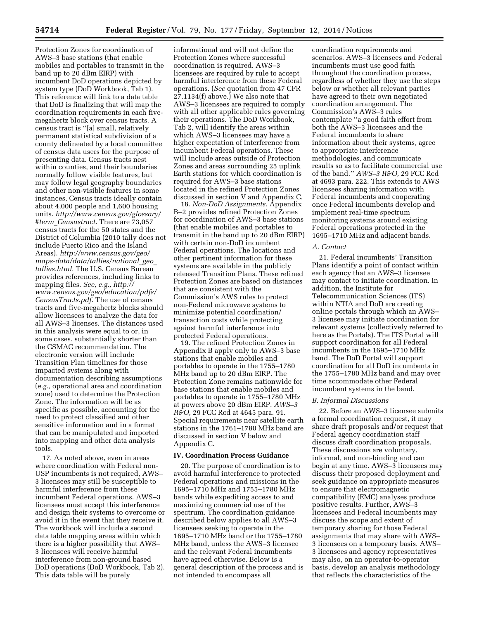Protection Zones for coordination of AWS–3 base stations (that enable mobiles and portables to transmit in the band up to 20 dBm EIRP) with incumbent DoD operations depicted by system type (DoD Workbook, Tab 1). This reference will link to a data table that DoD is finalizing that will map the coordination requirements in each fivemegahertz block over census tracts. A census tract is ''[a] small, relatively permanent statistical subdivision of a county delineated by a local committee of census data users for the purpose of presenting data. Census tracts nest within counties, and their boundaries normally follow visible features, but may follow legal geography boundaries and other non-visible features in some instances, Census tracts ideally contain about 4,000 people and 1,600 housing units. *[http://www.census.gov/glossary/](http://www.census.gov/glossary/#term_Censustract) #term*\_*[Censustract.](http://www.census.gov/glossary/#term_Censustract)* There are 73,057 census tracts for the 50 states and the District of Columbia (2010 tally does not include Puerto Rico and the Island Areas). *[http://www.census.gov/geo/](http://www.census.gov/geo/maps-data/data/tallies/national_geo_tallies.html) [maps-data/data/tallies/national](http://www.census.gov/geo/maps-data/data/tallies/national_geo_tallies.html)*\_*geo*\_ *[tallies.html.](http://www.census.gov/geo/maps-data/data/tallies/national_geo_tallies.html)* The U.S. Census Bureau provides references, including links to mapping files. *See, e.g., [http://](http://www.census.gov/geo/education/pdfs/CensusTracts.pdf) [www.census.gov/geo/education/pdfs/](http://www.census.gov/geo/education/pdfs/CensusTracts.pdf) [CensusTracts.pdf.](http://www.census.gov/geo/education/pdfs/CensusTracts.pdf)* The use of census tracts and five-megahertz blocks should allow licensees to analyze the data for all AWS–3 licenses. The distances used in this analysis were equal to or, in some cases, substantially shorter than the CSMAC recommendation. The electronic version will include Transition Plan timelines for those impacted systems along with documentation describing assumptions (*e.g.,* operational area and coordination zone) used to determine the Protection Zone. The information will be as specific as possible, accounting for the need to protect classified and other sensitive information and in a format that can be manipulated and imported into mapping and other data analysis tools.

17. As noted above, even in areas where coordination with Federal non-USP incumbents is not required, AWS– 3 licensees may still be susceptible to harmful interference from these incumbent Federal operations. AWS–3 licensees must accept this interference and design their systems to overcome or avoid it in the event that they receive it. The workbook will include a second data table mapping areas within which there is a higher possibility that AWS– 3 licensees will receive harmful interference from non-ground based DoD operations (DoD Workbook, Tab 2). This data table will be purely

informational and will not define the Protection Zones where successful coordination is required. AWS–3 licensees are required by rule to accept harmful interference from these Federal operations. (*See* quotation from 47 CFR 27.1134(f) above.) We also note that AWS–3 licensees are required to comply with all other applicable rules governing their operations. The DoD Workbook, Tab 2, will identify the areas within which AWS–3 licensees may have a higher expectation of interference from incumbent Federal operations. These will include areas outside of Protection Zones and areas surrounding 25 uplink Earth stations for which coordination is required for AWS–3 base stations located in the refined Protection Zones discussed in section V and Appendix C.

18. *Non-DoD Assignments.* Appendix B–2 provides refined Protection Zones for coordination of AWS–3 base stations (that enable mobiles and portables to transmit in the band up to 20 dBm EIRP) with certain non-DoD incumbent Federal operations. The locations and other pertinent information for these systems are available in the publicly released Transition Plans. These refined Protection Zones are based on distances that are consistent with the Commission's AWS rules to protect non-Federal microwave systems to minimize potential coordination/ transaction costs while protecting against harmful interference into protected Federal operations.

19. The refined Protection Zones in Appendix B apply only to AWS–3 base stations that enable mobiles and portables to operate in the 1755–1780 MHz band up to 20 dBm EIRP. The Protection Zone remains nationwide for base stations that enable mobiles and portables to operate in 1755–1780 MHz at powers above 20 dBm EIRP. *AWS–3 R&O,* 29 FCC Rcd at 4645 para. 91. Special requirements near satellite earth stations in the 1761–1780 MHz band are discussed in section V below and Appendix C.

## **IV. Coordination Process Guidance**

20. The purpose of coordination is to avoid harmful interference to protected Federal operations and missions in the 1695–1710 MHz and 1755–1780 MHz bands while expediting access to and maximizing commercial use of the spectrum. The coordination guidance described below applies to all AWS–3 licensees seeking to operate in the 1695–1710 MHz band or the 1755–1780 MHz band, unless the AWS–3 licensee and the relevant Federal incumbents have agreed otherwise. Below is a general description of the process and is not intended to encompass all

coordination requirements and scenarios. AWS–3 licensees and Federal incumbents must use good faith throughout the coordination process, regardless of whether they use the steps below or whether all relevant parties have agreed to their own negotiated coordination arrangement. The Commission's AWS–3 rules contemplate ''a good faith effort from both the AWS–3 licensees and the Federal incumbents to share information about their systems, agree to appropriate interference methodologies, and communicate results so as to facilitate commercial use of the band.'' *AWS–3 R&O,* 29 FCC Rcd at 4693 para. 222. This extends to AWS licensees sharing information with Federal incumbents and cooperating once Federal incumbents develop and implement real-time spectrum monitoring systems around existing Federal operations protected in the 1695–1710 MHz and adjacent bands.

#### *A. Contact*

21. Federal incumbents' Transition Plans identify a point of contact within each agency that an AWS–3 licensee may contact to initiate coordination. In addition, the Institute for Telecommunication Sciences (ITS) within NTIA and DoD are creating online portals through which an AWS– 3 licensee may initiate coordination for relevant systems (collectively referred to here as the Portals). The ITS Portal will support coordination for all Federal incumbents in the 1695–1710 MHz band. The DoD Portal will support coordination for all DoD incumbents in the 1755–1780 MHz band and may over time accommodate other Federal incumbent systems in the band.

#### *B. Informal Discussions*

22. Before an AWS–3 licensee submits a formal coordination request, it may share draft proposals and/or request that Federal agency coordination staff discuss draft coordination proposals. These discussions are voluntary, informal, and non-binding and can begin at any time. AWS–3 licensees may discuss their proposed deployment and seek guidance on appropriate measures to ensure that electromagnetic compatibility (EMC) analyses produce positive results. Further, AWS–3 licensees and Federal incumbents may discuss the scope and extent of temporary sharing for those Federal assignments that may share with AWS– 3 licensees on a temporary basis. AWS– 3 licensees and agency representatives may also, on an operator-to-operator basis, develop an analysis methodology that reflects the characteristics of the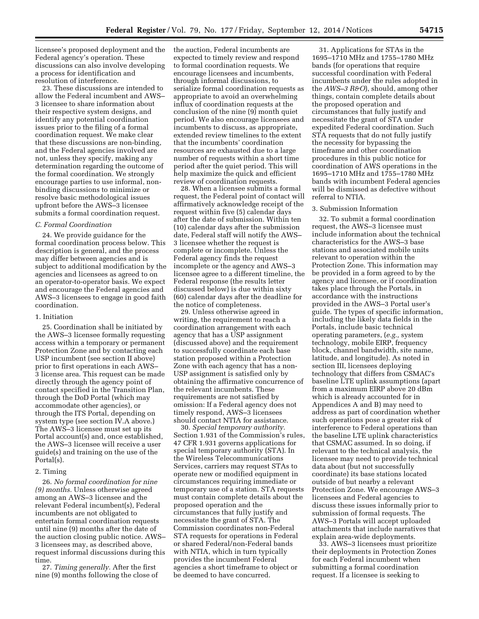licensee's proposed deployment and the Federal agency's operation. These discussions can also involve developing a process for identification and resolution of interference.

23. These discussions are intended to allow the Federal incumbent and AWS– 3 licensee to share information about their respective system designs, and identify any potential coordination issues prior to the filing of a formal coordination request. We make clear that these discussions are non-binding, and the Federal agencies involved are not, unless they specify, making any determination regarding the outcome of the formal coordination. We strongly encourage parties to use informal, nonbinding discussions to minimize or resolve basic methodological issues upfront before the AWS–3 licensee submits a formal coordination request.

#### *C. Formal Coordination*

24. We provide guidance for the formal coordination process below. This description is general, and the process may differ between agencies and is subject to additional modification by the agencies and licensees as agreed to on an operator-to-operator basis. We expect and encourage the Federal agencies and AWS–3 licensees to engage in good faith coordination.

#### 1. Initiation

25. Coordination shall be initiated by the AWS–3 licensee formally requesting access within a temporary or permanent Protection Zone and by contacting each USP incumbent (see section II above) prior to first operations in each AWS– 3 license area. This request can be made directly through the agency point of contact specified in the Transition Plan, through the DoD Portal (which may accommodate other agencies), or through the ITS Portal, depending on system type (see section IV.A above.) The AWS–3 licensee must set up its Portal account(s) and, once established, the AWS–3 licensee will receive a user guide(s) and training on the use of the Portal(s).

## 2. Timing

26. *No formal coordination for nine (9) months.* Unless otherwise agreed among an AWS–3 licensee and the relevant Federal incumbent(s), Federal incumbents are not obligated to entertain formal coordination requests until nine (9) months after the date of the auction closing public notice. AWS– 3 licensees may, as described above, request informal discussions during this time.

27. *Timing generally.* After the first nine (9) months following the close of the auction, Federal incumbents are expected to timely review and respond to formal coordination requests. We encourage licensees and incumbents, through informal discussions, to serialize formal coordination requests as appropriate to avoid an overwhelming influx of coordination requests at the conclusion of the nine (9) month quiet period. We also encourage licensees and incumbents to discuss, as appropriate, extended review timelines to the extent that the incumbents' coordination resources are exhausted due to a large number of requests within a short time period after the quiet period. This will help maximize the quick and efficient review of coordination requests.

28. When a licensee submits a formal request, the Federal point of contact will affirmatively acknowledge receipt of the request within five (5) calendar days after the date of submission. Within ten (10) calendar days after the submission date, Federal staff will notify the AWS– 3 licensee whether the request is complete or incomplete. Unless the Federal agency finds the request incomplete or the agency and AWS–3 licensee agree to a different timeline, the Federal response (the results letter discussed below) is due within sixty (60) calendar days after the deadline for the notice of completeness.

29. Unless otherwise agreed in writing, the requirement to reach a coordination arrangement with each agency that has a USP assignment (discussed above) and the requirement to successfully coordinate each base station proposed within a Protection Zone with each agency that has a non-USP assignment is satisfied only by obtaining the affirmative concurrence of the relevant incumbents. These requirements are not satisfied by omission: If a Federal agency does not timely respond, AWS–3 licensees should contact NTIA for assistance.

30. *Special temporary authority.*  Section 1.931 of the Commission's rules, 47 CFR 1.931 governs applications for special temporary authority (STA). In the Wireless Telecommunications Services, carriers may request STAs to operate new or modified equipment in circumstances requiring immediate or temporary use of a station. STA requests must contain complete details about the proposed operation and the circumstances that fully justify and necessitate the grant of STA. The Commission coordinates non-Federal STA requests for operations in Federal or shared Federal/non-Federal bands with NTIA, which in turn typically provides the incumbent Federal agencies a short timeframe to object or be deemed to have concurred.

31. Applications for STAs in the 1695–1710 MHz and 1755–1780 MHz bands (for operations that require successful coordination with Federal incumbents under the rules adopted in the *AWS–3 R&O*), should, among other things, contain complete details about the proposed operation and circumstances that fully justify and necessitate the grant of STA under expedited Federal coordination. Such STA requests that do not fully justify the necessity for bypassing the timeframe and other coordination procedures in this public notice for coordination of AWS operations in the 1695–1710 MHz and 1755–1780 MHz bands with incumbent Federal agencies will be dismissed as defective without referral to NTIA.

#### 3. Submission Information

32. To submit a formal coordination request, the AWS–3 licensee must include information about the technical characteristics for the AWS–3 base stations and associated mobile units relevant to operation within the Protection Zone. This information may be provided in a form agreed to by the agency and licensee, or if coordination takes place through the Portals, in accordance with the instructions provided in the AWS–3 Portal user's guide. The types of specific information, including the likely data fields in the Portals, include basic technical operating parameters, (*e.g.,* system technology, mobile EIRP, frequency block, channel bandwidth, site name, latitude, and longitude). As noted in section III, licensees deploying technology that differs from CSMAC's baseline LTE uplink assumptions (apart from a maximum EIRP above 20 dBm which is already accounted for in Appendices A and B) may need to address as part of coordination whether such operations pose a greater risk of interference to Federal operations than the baseline LTE uplink characteristics that CSMAC assumed. In so doing, if relevant to the technical analysis, the licensee may need to provide technical data about (but not successfully coordinate) its base stations located outside of but nearby a relevant Protection Zone. We encourage AWS–3 licensees and Federal agencies to discuss these issues informally prior to submission of formal requests. The AWS–3 Portals will accept uploaded attachments that include narratives that explain area-wide deployments.

33. AWS–3 licensees must prioritize their deployments in Protection Zones for each Federal incumbent when submitting a formal coordination request. If a licensee is seeking to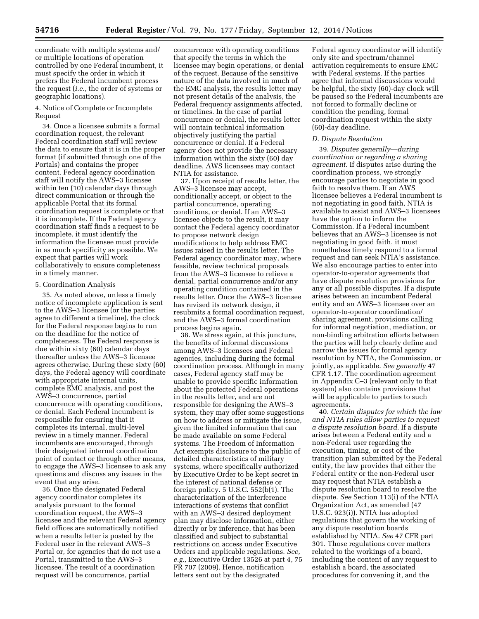coordinate with multiple systems and/ or multiple locations of operation controlled by one Federal incumbent, it must specify the order in which it prefers the Federal incumbent process the request (*i.e.,* the order of systems or geographic locations).

4. Notice of Complete or Incomplete Request

34. Once a licensee submits a formal coordination request, the relevant Federal coordination staff will review the data to ensure that it is in the proper format (if submitted through one of the Portals) and contains the proper content. Federal agency coordination staff will notify the AWS–3 licensee within ten (10) calendar days through direct communication or through the applicable Portal that its formal coordination request is complete or that it is incomplete. If the Federal agency coordination staff finds a request to be incomplete, it must identify the information the licensee must provide in as much specificity as possible. We expect that parties will work collaboratively to ensure completeness in a timely manner.

### 5. Coordination Analysis

35. As noted above, unless a timely notice of incomplete application is sent to the AWS–3 licensee (or the parties agree to different a timeline), the clock for the Federal response begins to run on the deadline for the notice of completeness. The Federal response is due within sixty (60) calendar days thereafter unless the AWS–3 licensee agrees otherwise. During these sixty (60) days, the Federal agency will coordinate with appropriate internal units, complete EMC analysis, and post the AWS–3 concurrence, partial concurrence with operating conditions, or denial. Each Federal incumbent is responsible for ensuring that it completes its internal, multi-level review in a timely manner. Federal incumbents are encouraged, through their designated internal coordination point of contact or through other means, to engage the AWS–3 licensee to ask any questions and discuss any issues in the event that any arise.

36. Once the designated Federal agency coordinator completes its analysis pursuant to the formal coordination request, the AWS–3 licensee and the relevant Federal agency field offices are automatically notified when a results letter is posted by the Federal user in the relevant AWS–3 Portal or, for agencies that do not use a Portal, transmitted to the AWS–3 licensee. The result of a coordination request will be concurrence, partial

concurrence with operating conditions that specify the terms in which the licensee may begin operations, or denial of the request. Because of the sensitive nature of the data involved in much of the EMC analysis, the results letter may not present details of the analysis, the Federal frequency assignments affected, or timelines. In the case of partial concurrence or denial, the results letter will contain technical information objectively justifying the partial concurrence or denial. If a Federal agency does not provide the necessary information within the sixty (60) day deadline, AWS licensees may contact NTIA for assistance.

37. Upon receipt of results letter, the AWS–3 licensee may accept, conditionally accept, or object to the partial concurrence, operating conditions, or denial. If an AWS–3 licensee objects to the result, it may contact the Federal agency coordinator to propose network design modifications to help address EMC issues raised in the results letter. The Federal agency coordinator may, where feasible, review technical proposals from the AWS–3 licensee to relieve a denial, partial concurrence and/or any operating condition contained in the results letter. Once the AWS–3 licensee has revised its network design, it resubmits a formal coordination request, and the AWS–3 formal coordination process begins again.

38. We stress again, at this juncture, the benefits of informal discussions among AWS–3 licensees and Federal agencies, including during the formal coordination process. Although in many cases, Federal agency staff may be unable to provide specific information about the protected Federal operations in the results letter, and are not responsible for designing the AWS–3 system, they may offer some suggestions on how to address or mitigate the issue, given the limited information that can be made available on some Federal systems. The Freedom of Information Act exempts disclosure to the public of detailed characteristics of military systems, where specifically authorized by Executive Order to be kept secret in the interest of national defense or foreign policy. 5 U.S.C. 552(b(1). The characterization of the interference interactions of systems that conflict with an AWS–3 desired deployment plan may disclose information, either directly or by inference, that has been classified and subject to substantial restrictions on access under Executive Orders and applicable regulations. *See, e.g.,* Executive Order 13526 at part 4, 75 FR 707 (2009). Hence, notification letters sent out by the designated

Federal agency coordinator will identify only site and spectrum/channel activation requirements to ensure EMC with Federal systems. If the parties agree that informal discussions would be helpful, the sixty (60)-day clock will be paused so the Federal incumbents are not forced to formally decline or condition the pending, formal coordination request within the sixty (60)-day deadline.

#### *D. Dispute Resolution*

39. *Disputes generally—during coordination or regarding a sharing agreement.* If disputes arise during the coordination process, we strongly encourage parties to negotiate in good faith to resolve them. If an AWS licensee believes a Federal incumbent is not negotiating in good faith, NTIA is available to assist and AWS–3 licensees have the option to inform the Commission. If a Federal incumbent believes that an AWS–3 licensee is not negotiating in good faith, it must nonetheless timely respond to a formal request and can seek NTIA's assistance. We also encourage parties to enter into operator-to-operator agreements that have dispute resolution provisions for any or all possible disputes. If a dispute arises between an incumbent Federal entity and an AWS–3 licensee over an operator-to-operator coordination/ sharing agreement, provisions calling for informal negotiation, mediation, or non-binding arbitration efforts between the parties will help clearly define and narrow the issues for formal agency resolution by NTIA, the Commission, or jointly, as applicable. *See generally* 47 CFR 1.17. The coordination agreement in Appendix C–3 (relevant only to that system) also contains provisions that will be applicable to parties to such agreements.

40. *Certain disputes for which the law and NTIA rules allow parties to request a dispute resolution board.* If a dispute arises between a Federal entity and a non-Federal user regarding the execution, timing, or cost of the transition plan submitted by the Federal entity, the law provides that either the Federal entity or the non-Federal user may request that NTIA establish a dispute resolution board to resolve the dispute. *See* Section 113(i) of the NTIA Organization Act, as amended (47 U.S.C. 923(i)). NTIA has adopted regulations that govern the working of any dispute resolution boards established by NTIA. *See* 47 CFR part 301. Those regulations cover matters related to the workings of a board, including the content of any request to establish a board, the associated procedures for convening it, and the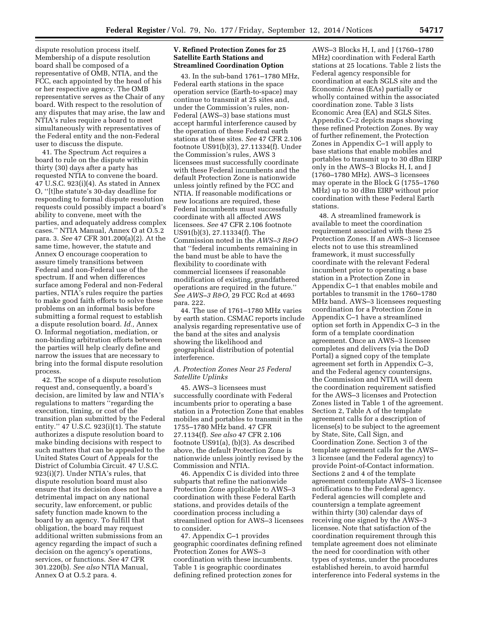dispute resolution process itself. Membership of a dispute resolution board shall be composed of a representative of OMB, NTIA, and the FCC, each appointed by the head of his or her respective agency. The OMB representative serves as the Chair of any board. With respect to the resolution of any disputes that may arise, the law and NTIA's rules require a board to meet simultaneously with representatives of the Federal entity and the non-Federal user to discuss the dispute.

41. The Spectrum Act requires a board to rule on the dispute within thirty (30) days after a party has requested NTIA to convene the board. 47 U.S.C. 923(i)(4). As stated in Annex O, ''[t]he statute's 30-day deadline for responding to formal dispute resolution requests could possibly impact a board's ability to convene, meet with the parties, and adequately address complex cases.'' NTIA Manual, Annex O at O.5.2 para. 3. *See* 47 CFR 301.200(a)(2). At the same time, however, the statute and Annex O encourage cooperation to assure timely transitions between Federal and non-Federal use of the spectrum. If and when differences surface among Federal and non-Federal parties, NTIA's rules require the parties to make good faith efforts to solve these problems on an informal basis before submitting a formal request to establish a dispute resolution board. *Id.,* Annex O. Informal negotiation, mediation, or non-binding arbitration efforts between the parties will help clearly define and narrow the issues that are necessary to bring into the formal dispute resolution process.

42. The scope of a dispute resolution request and, consequently, a board's decision, are limited by law and NTIA's regulations to matters ''regarding the execution, timing, or cost of the transition plan submitted by the Federal entity.'' 47 U.S.C. 923(i)(1). The statute authorizes a dispute resolution board to make binding decisions with respect to such matters that can be appealed to the United States Court of Appeals for the District of Columbia Circuit. 47 U.S.C. 923(i)(7). Under NTIA's rules, that dispute resolution board must also ensure that its decision does not have a detrimental impact on any national security, law enforcement, or public safety function made known to the board by an agency. To fulfill that obligation, the board may request additional written submissions from an agency regarding the impact of such a decision on the agency's operations, services, or functions. *See* 47 CFR 301.220(b). *See also* NTIA Manual, Annex O at O.5.2 para. 4.

## **V. Refined Protection Zones for 25 Satellite Earth Stations and Streamlined Coordination Option**

43. In the sub-band 1761–1780 MHz, Federal earth stations in the space operation service (Earth-to-space) may continue to transmit at 25 sites and, under the Commission's rules, non-Federal (AWS–3) base stations must accept harmful interference caused by the operation of these Federal earth stations at these sites. *See* 47 CFR 2.106 footnote US91(b)(3), 27.11334(f). Under the Commission's rules, AWS 3 licensees must successfully coordinate with these Federal incumbents and the default Protection Zone is nationwide unless jointly refined by the FCC and NTIA. If reasonable modifications or new locations are required, these Federal incumbents must successfully coordinate with all affected AWS licensees. *See* 47 CFR 2.106 footnote US91(b)(3), 27.11334(f). The Commission noted in the *AWS–3 R&O*  that ''federal incumbents remaining in the band must be able to have the flexibility to coordinate with commercial licensees if reasonable modification of existing, grandfathered operations are required in the future.'' *See AWS–3 R&O,* 29 FCC Rcd at 4693 para. 222.

44. The use of 1761–1780 MHz varies by earth station. CSMAC reports include analysis regarding representative use of the band at the sites and analysis showing the likelihood and geographical distribution of potential interference.

### *A. Protection Zones Near 25 Federal Satellite Uplinks*

45. AWS–3 licensees must successfully coordinate with Federal incumbents prior to operating a base station in a Protection Zone that enables mobiles and portables to transmit in the 1755–1780 MHz band. 47 CFR 27.1134(f). *See also* 47 CFR 2.106 footnote US91(a), (b)(3). As described above, the default Protection Zone is nationwide unless jointly revised by the Commission and NTIA.

46. Appendix C is divided into three subparts that refine the nationwide Protection Zone applicable to AWS–3 coordination with these Federal Earth stations, and provides details of the coordination process including a streamlined option for AWS–3 licensees to consider.

47. Appendix C–1 provides geographic coordinates defining refined Protection Zones for AWS–3 coordination with these incumbents. Table 1 is geographic coordinates defining refined protection zones for

AWS–3 Blocks H, I, and J (1760–1780 MHz) coordination with Federal Earth stations at 25 locations. Table 2 lists the Federal agency responsible for coordination at each SGLS site and the Economic Areas (EAs) partially or wholly contained within the associated coordination zone. Table 3 lists Economic Area (EA) and SGLS Sites. Appendix C–2 depicts maps showing these refined Protection Zones. By way of further refinement, the Protection Zones in Appendix C–1 will apply to base stations that enable mobiles and portables to transmit up to 30 dBm EIRP only in the AWS–3 Blocks H, I, and J (1760–1780 MHz). AWS–3 licensees may operate in the Block G (1755–1760 MHz) up to 30 dBm EIRP without prior coordination with these Federal Earth stations.

48. A streamlined framework is available to meet the coordination requirement associated with these 25 Protection Zones. If an AWS–3 licensee elects not to use this streamlined framework, it must successfully coordinate with the relevant Federal incumbent prior to operating a base station in a Protection Zone in Appendix C–1 that enables mobile and portables to transmit in the 1760–1780 MHz band. AWS–3 licensees requesting coordination for a Protection Zone in Appendix C–1 have a streamlined option set forth in Appendix C–3 in the form of a template coordination agreement. Once an AWS–3 licensee completes and delivers (via the DoD Portal) a signed copy of the template agreement set forth in Appendix C–3, and the Federal agency countersigns, the Commission and NTIA will deem the coordination requirement satisfied for the AWS–3 licenses and Protection Zones listed in Table 1 of the agreement. Section 2, Table A of the template agreement calls for a description of license(s) to be subject to the agreement by State, Site, Call Sign, and Coordination Zone. Section 3 of the template agreement calls for the AWS– 3 licensee (and the Federal agency) to provide Point-of-Contact information. Sections 2 and 4 of the template agreement contemplate AWS–3 licensee notifications to the Federal agency. Federal agencies will complete and countersign a template agreement within thirty (30) calendar days of receiving one signed by the AWS–3 licensee. Note that satisfaction of the coordination requirement through this template agreement does not eliminate the need for coordination with other types of systems, under the procedures established herein, to avoid harmful interference into Federal systems in the